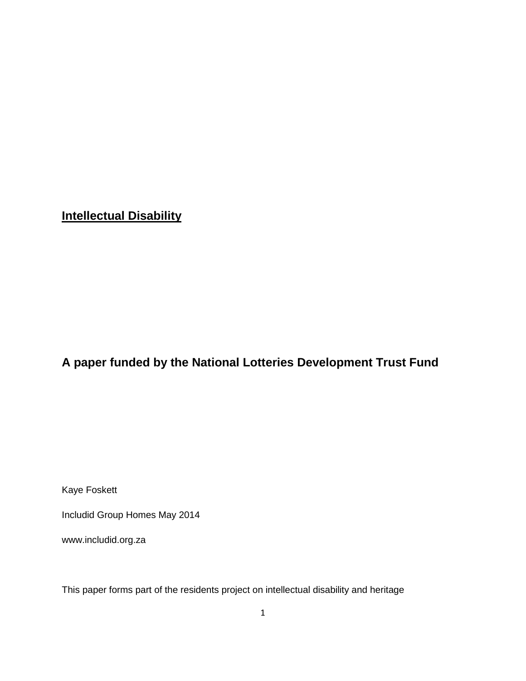# **Intellectual Disability**

# **A paper funded by the National Lotteries Development Trust Fund**

Kaye Foskett

Includid Group Homes May 2014

www.includid.org.za

This paper forms part of the residents project on intellectual disability and heritage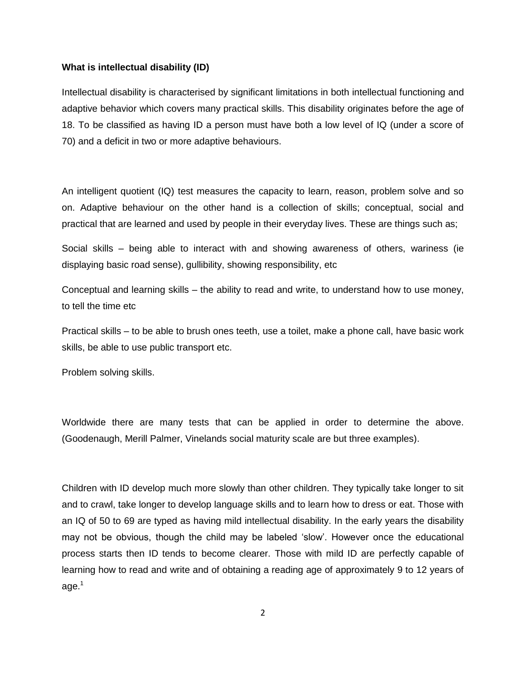#### **What is intellectual disability (ID)**

Intellectual disability is characterised by significant limitations in both intellectual functioning and adaptive behavior which covers many practical skills. This disability originates before the age of 18. To be classified as having ID a person must have both a low level of IQ (under a score of 70) and a deficit in two or more adaptive behaviours.

An intelligent quotient (IQ) test measures the capacity to learn, reason, problem solve and so on. Adaptive behaviour on the other hand is a collection of skills; conceptual, social and practical that are learned and used by people in their everyday lives. These are things such as;

Social skills – being able to interact with and showing awareness of others, wariness (ie displaying basic road sense), gullibility, showing responsibility, etc

Conceptual and learning skills – the ability to read and write, to understand how to use money, to tell the time etc

Practical skills – to be able to brush ones teeth, use a toilet, make a phone call, have basic work skills, be able to use public transport etc.

Problem solving skills.

Worldwide there are many tests that can be applied in order to determine the above. (Goodenaugh, Merill Palmer, Vinelands social maturity scale are but three examples).

Children with ID develop much more slowly than other children. They typically take longer to sit and to crawl, take longer to develop language skills and to learn how to dress or eat. Those with an IQ of 50 to 69 are typed as having mild intellectual disability. In the early years the disability may not be obvious, though the child may be labeled 'slow'. However once the educational process starts then ID tends to become clearer. Those with mild ID are perfectly capable of learning how to read and write and of obtaining a reading age of approximately 9 to 12 years of age. $1$ 

2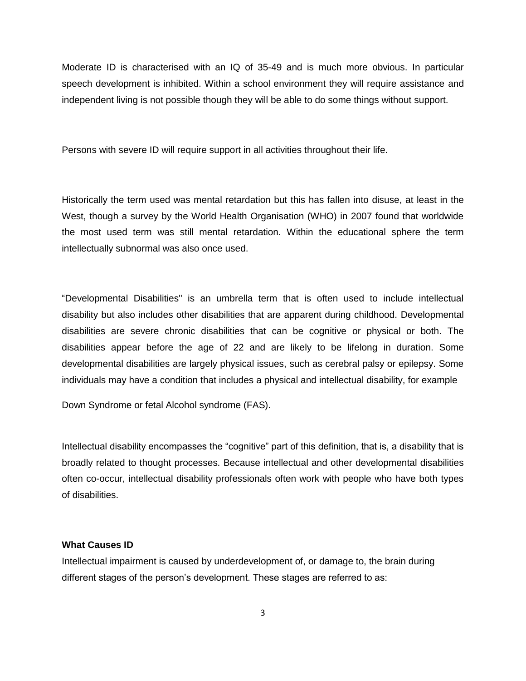Moderate ID is characterised with an IQ of 35-49 and is much more obvious. In particular speech development is inhibited. Within a school environment they will require assistance and independent living is not possible though they will be able to do some things without support.

Persons with severe ID will require support in all activities throughout their life.

Historically the term used was mental retardation but this has fallen into disuse, at least in the West, though a survey by the World Health Organisation (WHO) in 2007 found that worldwide the most used term was still mental retardation. Within the educational sphere the term intellectually subnormal was also once used.

"Developmental Disabilities" is an umbrella term that is often used to include intellectual disability but also includes other disabilities that are apparent during childhood. Developmental disabilities are severe chronic disabilities that can be cognitive or physical or both. The disabilities appear before the age of 22 and are likely to be lifelong in duration. Some developmental disabilities are largely physical issues, such as cerebral palsy or epilepsy. Some individuals may have a condition that includes a physical and intellectual disability, for example

Down Syndrome or fetal Alcohol syndrome (FAS).

Intellectual disability encompasses the "cognitive" part of this definition, that is, a disability that is broadly related to thought processes. Because intellectual and other developmental disabilities often co-occur, intellectual disability professionals often work with people who have both types of disabilities.

#### **What Causes ID**

Intellectual impairment is caused by underdevelopment of, or damage to, the brain during different stages of the person's development. These stages are referred to as: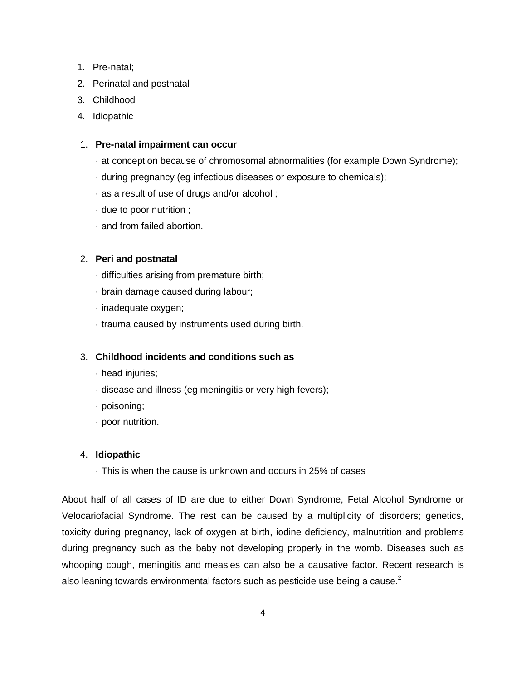- 1. Pre-natal;
- 2. Perinatal and postnatal
- 3. Childhood
- 4. Idiopathic

# 1. **Pre-natal impairment can occur**

- · at conception because of chromosomal abnormalities (for example Down Syndrome);
- · during pregnancy (eg infectious diseases or exposure to chemicals);
- · as a result of use of drugs and/or alcohol ;
- · due to poor nutrition ;
- · and from failed abortion.

# 2. **Peri and postnatal**

- · difficulties arising from premature birth;
- · brain damage caused during labour;
- · inadequate oxygen;
- · trauma caused by instruments used during birth.

# 3. **Childhood incidents and conditions such as**

- · head injuries;
- · disease and illness (eg meningitis or very high fevers);
- · poisoning;
- · poor nutrition.

## 4. **Idiopathic**

· This is when the cause is unknown and occurs in 25% of cases

About half of all cases of ID are due to either Down Syndrome, Fetal Alcohol Syndrome or Velocariofacial Syndrome. The rest can be caused by a multiplicity of disorders; genetics, toxicity during pregnancy, lack of oxygen at birth, iodine deficiency, malnutrition and problems during pregnancy such as the baby not developing properly in the womb. Diseases such as whooping cough, meningitis and measles can also be a causative factor. Recent research is also leaning towards environmental factors such as pesticide use being a cause.<sup>2</sup>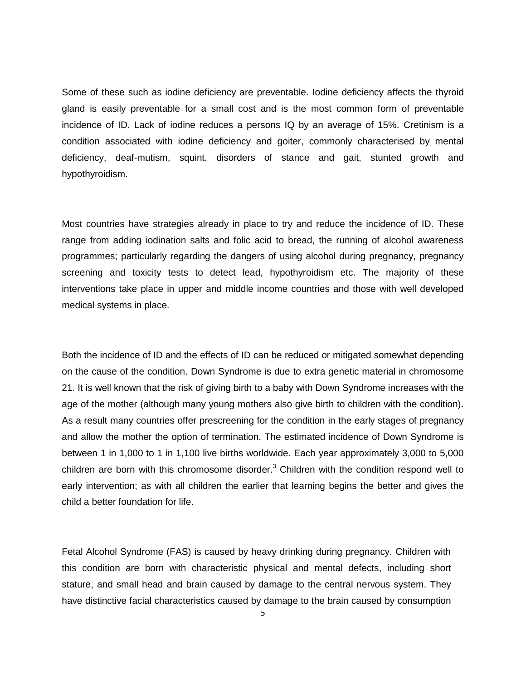Some of these such as iodine deficiency are preventable. Iodine deficiency affects the thyroid gland is easily preventable for a small cost and is the most common form of preventable incidence of ID. Lack of iodine reduces a persons IQ by an average of 15%. Cretinism is a condition associated with iodine deficiency and goiter, commonly characterised by mental deficiency, deaf-mutism, squint, disorders of stance and gait, stunted growth and hypothyroidism.

Most countries have strategies already in place to try and reduce the incidence of ID. These range from adding iodination salts and folic acid to bread, the running of alcohol awareness programmes; particularly regarding the dangers of using alcohol during pregnancy, pregnancy screening and toxicity tests to detect lead, hypothyroidism etc. The majority of these interventions take place in upper and middle income countries and those with well developed medical systems in place.

Both the incidence of ID and the effects of ID can be reduced or mitigated somewhat depending on the cause of the condition. Down Syndrome is due to extra genetic material in chromosome 21. It is well known that the risk of giving birth to a baby with Down Syndrome increases with the age of the mother (although many young mothers also give birth to children with the condition). As a result many countries offer prescreening for the condition in the early stages of pregnancy and allow the mother the option of termination. The estimated incidence of Down Syndrome is between 1 in 1,000 to 1 in 1,100 live births worldwide. Each year approximately 3,000 to 5,000 children are born with this chromosome disorder.<sup>3</sup> Children with the condition respond well to early intervention; as with all children the earlier that learning begins the better and gives the child a better foundation for life.

Fetal Alcohol Syndrome (FAS) is caused by heavy drinking during pregnancy. Children with this condition are born with characteristic physical and mental defects, including short stature, and small head and brain caused by damage to the central nervous system. They have distinctive facial characteristics caused by damage to the brain caused by consumption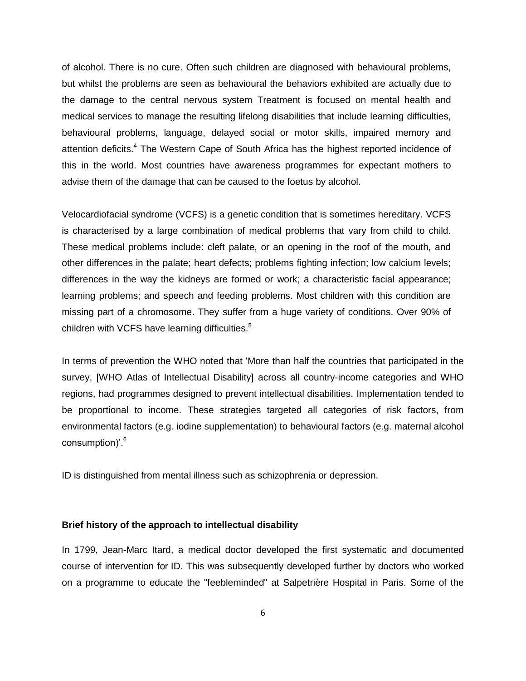of alcohol. There is no cure. Often such children are diagnosed with behavioural problems, but whilst the problems are seen as behavioural the behaviors exhibited are actually due to the damage to the central nervous system Treatment is focused on mental health and medical services to manage the resulting lifelong disabilities that include learning difficulties, behavioural problems, language, delayed social or motor skills, impaired memory and attention deficits.<sup>4</sup> The Western Cape of South Africa has the highest reported incidence of this in the world. Most countries have awareness programmes for expectant mothers to advise them of the damage that can be caused to the foetus by alcohol.

Velocardiofacial syndrome (VCFS) is a genetic condition that is sometimes hereditary. VCFS is characterised by a large combination of medical problems that vary from child to child. These medical problems include: cleft palate, or an opening in the roof of the mouth, and other differences in the palate; heart defects; problems fighting infection; low calcium levels; differences in the way the kidneys are formed or work; a characteristic facial appearance; learning problems; and speech and feeding problems. Most children with this condition are missing part of a chromosome. They suffer from a huge variety of conditions. Over 90% of children with VCFS have learning difficulties.<sup>5</sup>

In terms of prevention the WHO noted that 'More than half the countries that participated in the survey, [WHO Atlas of Intellectual Disability] across all country-income categories and WHO regions, had programmes designed to prevent intellectual disabilities. Implementation tended to be proportional to income. These strategies targeted all categories of risk factors, from environmental factors (e.g. iodine supplementation) to behavioural factors (e.g. maternal alcohol consumption)'.<sup>6</sup>

ID is distinguished from mental illness such as schizophrenia or depression.

## **Brief history of the approach to intellectual disability**

In 1799, Jean-Marc Itard, a medical doctor developed the first systematic and documented course of intervention for ID. This was subsequently developed further by doctors who worked on a programme to educate the "feebleminded" at Salpetrière Hospital in Paris. Some of the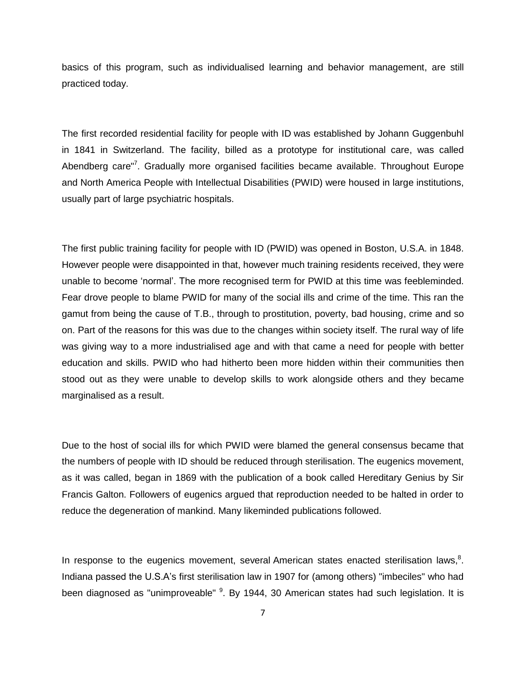basics of this program, such as individualised learning and behavior management, are still practiced today.

The first recorded residential facility for people with ID was established by Johann Guggenbuhl in 1841 in Switzerland. The facility, billed as a prototype for institutional care, was called Abendberg care"<sup>7</sup>. Gradually more organised facilities became available. Throughout Europe and North America People with Intellectual Disabilities (PWID) were housed in large institutions, usually part of large psychiatric hospitals.

The first public training facility for people with ID (PWID) was opened in Boston, U.S.A. in 1848. However people were disappointed in that, however much training residents received, they were unable to become 'normal'. The more recognised term for PWID at this time was feebleminded. Fear drove people to blame PWID for many of the social ills and crime of the time. This ran the gamut from being the cause of T.B., through to prostitution, poverty, bad housing, crime and so on. Part of the reasons for this was due to the changes within society itself. The rural way of life was giving way to a more industrialised age and with that came a need for people with better education and skills. PWID who had hitherto been more hidden within their communities then stood out as they were unable to develop skills to work alongside others and they became marginalised as a result.

Due to the host of social ills for which PWID were blamed the general consensus became that the numbers of people with ID should be reduced through sterilisation. The eugenics movement, as it was called, began in 1869 with the publication of a book called Hereditary Genius by Sir Francis Galton. Followers of eugenics argued that reproduction needed to be halted in order to reduce the degeneration of mankind. Many likeminded publications followed.

In response to the eugenics movement, several American states enacted sterilisation laws, $8$ . Indiana passed the U.S.A's first sterilisation law in 1907 for (among others) "imbeciles" who had been diagnosed as "unimproveable" <sup>9</sup>. By 1944, 30 American states had such legislation. It is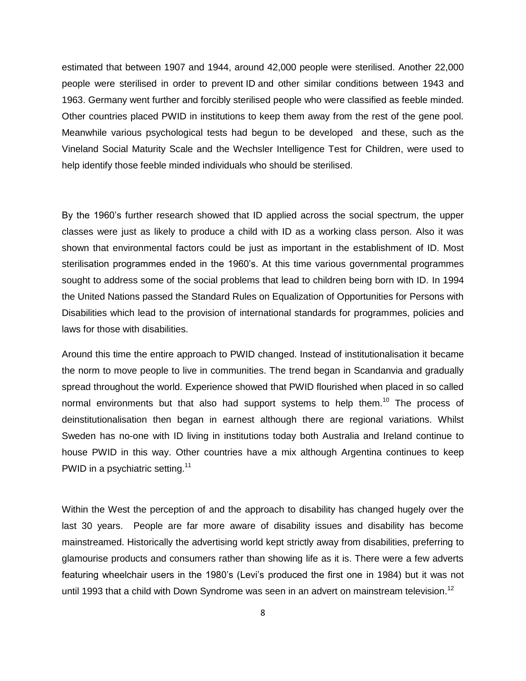estimated that between 1907 and 1944, around 42,000 people were sterilised. Another 22,000 people were sterilised in order to prevent ID and other similar conditions between 1943 and 1963. Germany went further and forcibly sterilised people who were classified as feeble minded. Other countries placed PWID in institutions to keep them away from the rest of the gene pool. Meanwhile various psychological tests had begun to be developed and these, such as the Vineland Social Maturity Scale and the Wechsler Intelligence Test for Children, were used to help identify those feeble minded individuals who should be sterilised.

By the 1960's further research showed that ID applied across the social spectrum, the upper classes were just as likely to produce a child with ID as a working class person. Also it was shown that environmental factors could be just as important in the establishment of ID. Most sterilisation programmes ended in the 1960's. At this time various governmental programmes sought to address some of the social problems that lead to children being born with ID. In 1994 the United Nations passed the Standard Rules on Equalization of Opportunities for Persons with Disabilities which lead to the provision of international standards for programmes, policies and laws for those with disabilities.

Around this time the entire approach to PWID changed. Instead of institutionalisation it became the norm to move people to live in communities. The trend began in Scandanvia and gradually spread throughout the world. Experience showed that PWID flourished when placed in so called normal environments but that also had support systems to help them.<sup>10</sup> The process of deinstitutionalisation then began in earnest although there are regional variations. Whilst Sweden has no-one with ID living in institutions today both Australia and Ireland continue to house PWID in this way. Other countries have a mix although Argentina continues to keep PWID in a psychiatric setting.<sup>11</sup>

Within the West the perception of and the approach to disability has changed hugely over the last 30 years. People are far more aware of disability issues and disability has become mainstreamed. Historically the advertising world kept strictly away from disabilities, preferring to glamourise products and consumers rather than showing life as it is. There were a few adverts featuring wheelchair users in the 1980's (Levi's produced the first one in 1984) but it was not until 1993 that a child with Down Syndrome was seen in an advert on mainstream television.<sup>12</sup>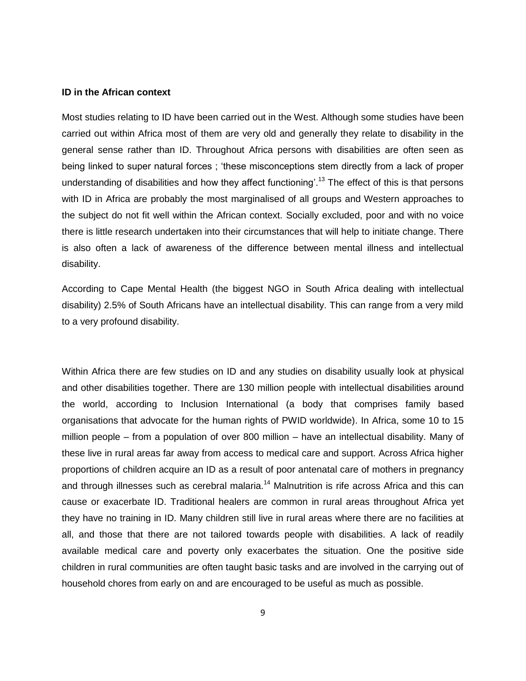### **ID in the African context**

Most studies relating to ID have been carried out in the West. Although some studies have been carried out within Africa most of them are very old and generally they relate to disability in the general sense rather than ID. Throughout Africa persons with disabilities are often seen as being linked to super natural forces ; 'these misconceptions stem directly from a lack of proper understanding of disabilities and how they affect functioning<sup>'13</sup> The effect of this is that persons with ID in Africa are probably the most marginalised of all groups and Western approaches to the subject do not fit well within the African context. Socially excluded, poor and with no voice there is little research undertaken into their circumstances that will help to initiate change. There is also often a lack of awareness of the difference between mental illness and intellectual disability.

According to Cape Mental Health (the biggest NGO in South Africa dealing with intellectual disability) 2.5% of South Africans have an intellectual disability. This can range from a very mild to a very profound disability.

Within Africa there are few studies on ID and any studies on disability usually look at physical and other disabilities together. There are 130 million people with intellectual disabilities around the world, according to Inclusion International (a body that comprises family based organisations that advocate for the human rights of PWID worldwide). In Africa, some 10 to 15 million people – from a population of over 800 million – have an intellectual disability. Many of these live in rural areas far away from access to medical care and support. Across Africa higher proportions of children acquire an ID as a result of poor antenatal care of mothers in pregnancy and through illnesses such as cerebral malaria.<sup>14</sup> Malnutrition is rife across Africa and this can cause or exacerbate ID. Traditional healers are common in rural areas throughout Africa yet they have no training in ID. Many children still live in rural areas where there are no facilities at all, and those that there are not tailored towards people with disabilities. A lack of readily available medical care and poverty only exacerbates the situation. One the positive side children in rural communities are often taught basic tasks and are involved in the carrying out of household chores from early on and are encouraged to be useful as much as possible.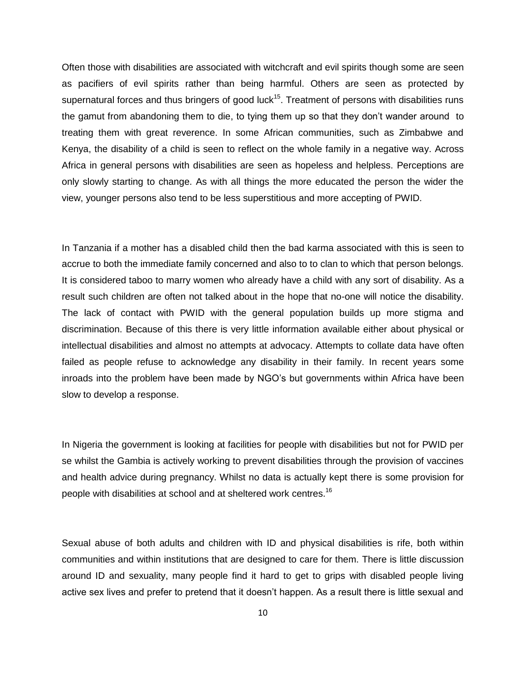Often those with disabilities are associated with witchcraft and evil spirits though some are seen as pacifiers of evil spirits rather than being harmful. Others are seen as protected by supernatural forces and thus bringers of good luck<sup>15</sup>. Treatment of persons with disabilities runs the gamut from abandoning them to die, to tying them up so that they don't wander around to treating them with great reverence. In some African communities, such as Zimbabwe and Kenya, the disability of a child is seen to reflect on the whole family in a negative way. Across Africa in general persons with disabilities are seen as hopeless and helpless. Perceptions are only slowly starting to change. As with all things the more educated the person the wider the view, younger persons also tend to be less superstitious and more accepting of PWID.

In Tanzania if a mother has a disabled child then the bad karma associated with this is seen to accrue to both the immediate family concerned and also to to clan to which that person belongs. It is considered taboo to marry women who already have a child with any sort of disability. As a result such children are often not talked about in the hope that no-one will notice the disability. The lack of contact with PWID with the general population builds up more stigma and discrimination. Because of this there is very little information available either about physical or intellectual disabilities and almost no attempts at advocacy. Attempts to collate data have often failed as people refuse to acknowledge any disability in their family. In recent years some inroads into the problem have been made by NGO's but governments within Africa have been slow to develop a response.

In Nigeria the government is looking at facilities for people with disabilities but not for PWID per se whilst the Gambia is actively working to prevent disabilities through the provision of vaccines and health advice during pregnancy. Whilst no data is actually kept there is some provision for people with disabilities at school and at sheltered work centres.<sup>16</sup>

Sexual abuse of both adults and children with ID and physical disabilities is rife, both within communities and within institutions that are designed to care for them. There is little discussion around ID and sexuality, many people find it hard to get to grips with disabled people living active sex lives and prefer to pretend that it doesn't happen. As a result there is little sexual and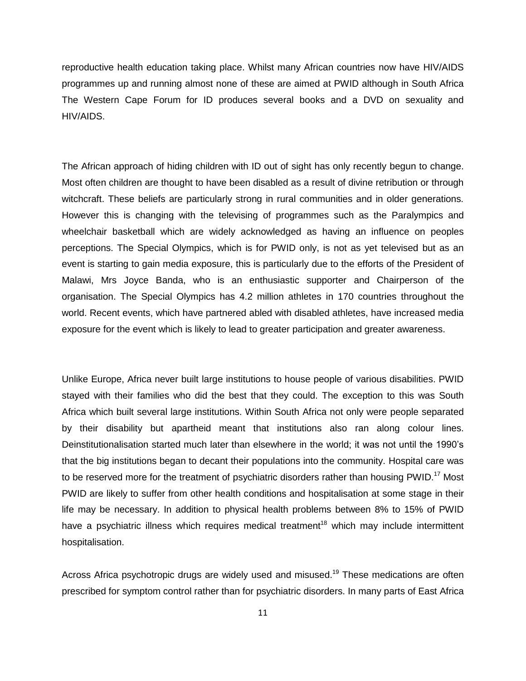reproductive health education taking place. Whilst many African countries now have HIV/AIDS programmes up and running almost none of these are aimed at PWID although in South Africa The Western Cape Forum for ID produces several books and a DVD on sexuality and HIV/AIDS.

The African approach of hiding children with ID out of sight has only recently begun to change. Most often children are thought to have been disabled as a result of divine retribution or through witchcraft. These beliefs are particularly strong in rural communities and in older generations. However this is changing with the televising of programmes such as the Paralympics and wheelchair basketball which are widely acknowledged as having an influence on peoples perceptions. The Special Olympics, which is for PWID only, is not as yet televised but as an event is starting to gain media exposure, this is particularly due to the efforts of the President of Malawi, Mrs Joyce Banda, who is an enthusiastic supporter and Chairperson of the organisation. The Special Olympics has 4.2 million athletes in 170 countries throughout the world. Recent events, which have partnered abled with disabled athletes, have increased media exposure for the event which is likely to lead to greater participation and greater awareness.

Unlike Europe, Africa never built large institutions to house people of various disabilities. PWID stayed with their families who did the best that they could. The exception to this was South Africa which built several large institutions. Within South Africa not only were people separated by their disability but apartheid meant that institutions also ran along colour lines. Deinstitutionalisation started much later than elsewhere in the world; it was not until the 1990's that the big institutions began to decant their populations into the community. Hospital care was to be reserved more for the treatment of psychiatric disorders rather than housing  $PWID.<sup>17</sup>$  Most PWID are likely to suffer from other health conditions and hospitalisation at some stage in their life may be necessary. In addition to physical health problems between 8% to 15% of PWID have a psychiatric illness which requires medical treatment<sup>18</sup> which may include intermittent hospitalisation.

Across Africa psychotropic drugs are widely used and misused.<sup>19</sup> These medications are often prescribed for symptom control rather than for psychiatric disorders. In many parts of East Africa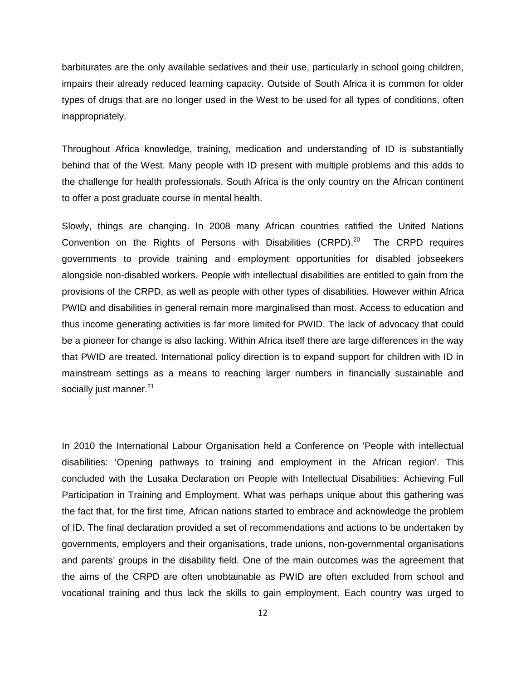barbiturates are the only available sedatives and their use, particularly in school going children, impairs their already reduced learning capacity. Outside of South Africa it is common for older types of drugs that are no longer used in the West to be used for all types of conditions, often inappropriately.

Throughout Africa knowledge, training, medication and understanding of ID is substantially behind that of the West. Many people with ID present with multiple problems and this adds to the challenge for health professionals. South Africa is the only country on the African continent to offer a post graduate course in mental health.

Slowly, things are changing. In 2008 many African countries ratified the United Nations Convention on the Rights of Persons with Disabilities (CRPD). $^{20}$  The CRPD requires governments to provide training and employment opportunities for disabled jobseekers alongside non-disabled workers. People with intellectual disabilities are entitled to gain from the provisions of the CRPD, as well as people with other types of disabilities. However within Africa PWID and disabilities in general remain more marginalised than most. Access to education and thus income generating activities is far more limited for PWID. The lack of advocacy that could be a pioneer for change is also lacking. Within Africa itself there are large differences in the way that PWID are treated. International policy direction is to expand support for children with ID in mainstream settings as a means to reaching larger numbers in financially sustainable and socially just manner. $21$ 

In 2010 the International Labour Organisation held a Conference on 'People with intellectual disabilities: 'Opening pathways to training and employment in the African region'. This concluded with the Lusaka Declaration on People with Intellectual Disabilities: Achieving Full Participation in Training and Employment. What was perhaps unique about this gathering was the fact that, for the first time, African nations started to embrace and acknowledge the problem of ID. The final declaration provided a set of recommendations and actions to be undertaken by governments, employers and their organisations, trade unions, non-governmental organisations and parents' groups in the disability field. One of the main outcomes was the agreement that the aims of the CRPD are often unobtainable as PWID are often excluded from school and vocational training and thus lack the skills to gain employment. Each country was urged to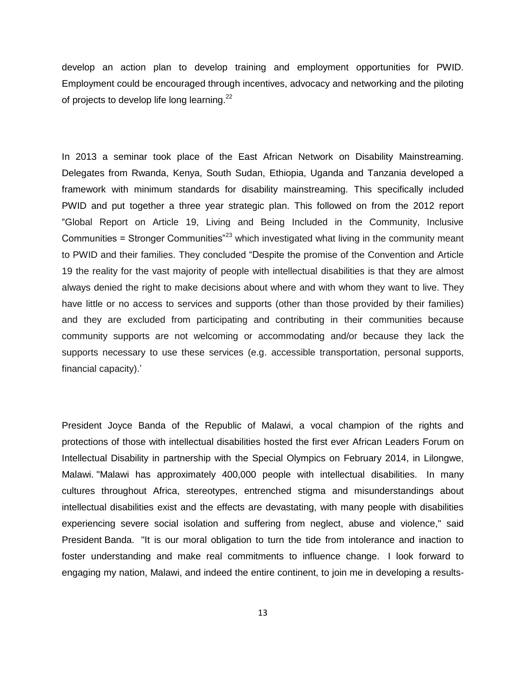develop an action plan to develop training and employment opportunities for PWID. Employment could be encouraged through incentives, advocacy and networking and the piloting of projects to develop life long learning.<sup>22</sup>

In 2013 a seminar took place of the East African Network on Disability Mainstreaming. Delegates from Rwanda, Kenya, South Sudan, Ethiopia, Uganda and Tanzania developed a framework with minimum standards for disability mainstreaming. This specifically included PWID and put together a three year strategic plan. This followed on from the 2012 report "Global Report on Article 19, Living and Being Included in the Community, Inclusive Communities = Stronger Communities<sup>"23</sup> which investigated what living in the community meant to PWID and their families. They concluded "Despite the promise of the Convention and Article 19 the reality for the vast majority of people with intellectual disabilities is that they are almost always denied the right to make decisions about where and with whom they want to live. They have little or no access to services and supports (other than those provided by their families) and they are excluded from participating and contributing in their communities because community supports are not welcoming or accommodating and/or because they lack the supports necessary to use these services (e.g. accessible transportation, personal supports, financial capacity).'

President Joyce Banda of the Republic of Malawi, a vocal champion of the rights and protections of those with intellectual disabilities hosted the first ever African Leaders Forum on Intellectual Disability in partnership with the Special Olympics on February 2014, in Lilongwe, Malawi. "Malawi has approximately 400,000 people with intellectual disabilities. In many cultures throughout Africa, stereotypes, entrenched stigma and misunderstandings about intellectual disabilities exist and the effects are devastating, with many people with disabilities experiencing severe social isolation and suffering from neglect, abuse and violence," said President Banda. "It is our moral obligation to turn the tide from intolerance and inaction to foster understanding and make real commitments to influence change. I look forward to engaging my nation, Malawi, and indeed the entire continent, to join me in developing a results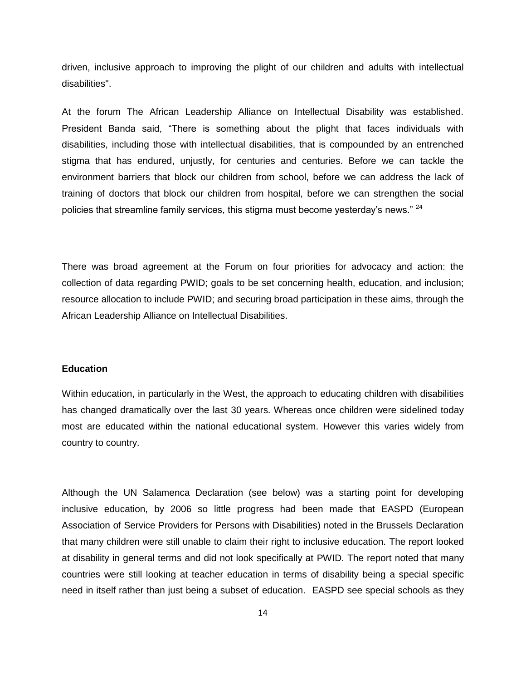driven, inclusive approach to improving the plight of our children and adults with intellectual disabilities".

At the forum The African Leadership Alliance on Intellectual Disability was established. President Banda said, "There is something about the plight that faces individuals with disabilities, including those with intellectual disabilities, that is compounded by an entrenched stigma that has endured, unjustly, for centuries and centuries. Before we can tackle the environment barriers that block our children from school, before we can address the lack of training of doctors that block our children from hospital, before we can strengthen the social policies that streamline family services, this stigma must become yesterday's news." <sup>24</sup>

There was broad agreement at the Forum on four priorities for advocacy and action: the collection of data regarding PWID; goals to be set concerning health, education, and inclusion; resource allocation to include PWID; and securing broad participation in these aims, through the African Leadership Alliance on Intellectual Disabilities.

## **Education**

Within education, in particularly in the West, the approach to educating children with disabilities has changed dramatically over the last 30 years. Whereas once children were sidelined today most are educated within the national educational system. However this varies widely from country to country.

Although the UN Salamenca Declaration (see below) was a starting point for developing inclusive education, by 2006 so little progress had been made that EASPD (European Association of Service Providers for Persons with Disabilities) noted in the Brussels Declaration that many children were still unable to claim their right to inclusive education. The report looked at disability in general terms and did not look specifically at PWID. The report noted that many countries were still looking at teacher education in terms of disability being a special specific need in itself rather than just being a subset of education. EASPD see special schools as they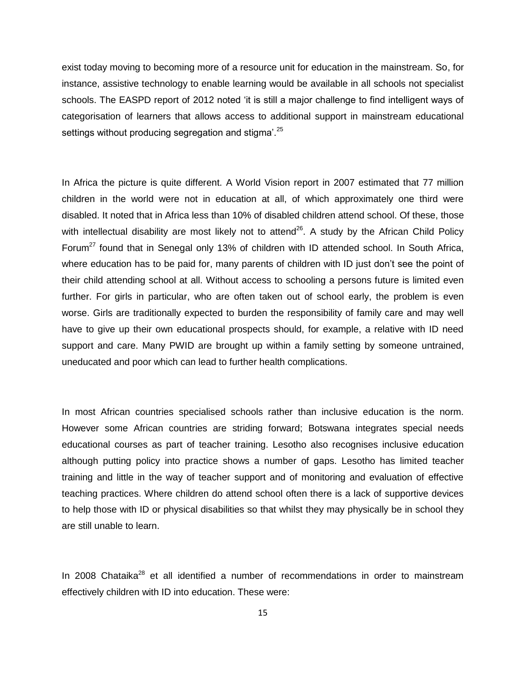exist today moving to becoming more of a resource unit for education in the mainstream. So, for instance, assistive technology to enable learning would be available in all schools not specialist schools. The EASPD report of 2012 noted 'it is still a major challenge to find intelligent ways of categorisation of learners that allows access to additional support in mainstream educational settings without producing segregation and stigma'.<sup>25</sup>

In Africa the picture is quite different. A World Vision report in 2007 estimated that 77 million children in the world were not in education at all, of which approximately one third were disabled. It noted that in Africa less than 10% of disabled children attend school. Of these, those with intellectual disability are most likely not to attend $^{26}$ . A study by the African Child Policy Forum<sup>27</sup> found that in Senegal only 13% of children with ID attended school. In South Africa, where education has to be paid for, many parents of children with ID just don't see the point of their child attending school at all. Without access to schooling a persons future is limited even further. For girls in particular, who are often taken out of school early, the problem is even worse. Girls are traditionally expected to burden the responsibility of family care and may well have to give up their own educational prospects should, for example, a relative with ID need support and care. Many PWID are brought up within a family setting by someone untrained, uneducated and poor which can lead to further health complications.

In most African countries specialised schools rather than inclusive education is the norm. However some African countries are striding forward; Botswana integrates special needs educational courses as part of teacher training. Lesotho also recognises inclusive education although putting policy into practice shows a number of gaps. Lesotho has limited teacher training and little in the way of teacher support and of monitoring and evaluation of effective teaching practices. Where children do attend school often there is a lack of supportive devices to help those with ID or physical disabilities so that whilst they may physically be in school they are still unable to learn.

In 2008 Chataika<sup>28</sup> et all identified a number of recommendations in order to mainstream effectively children with ID into education. These were: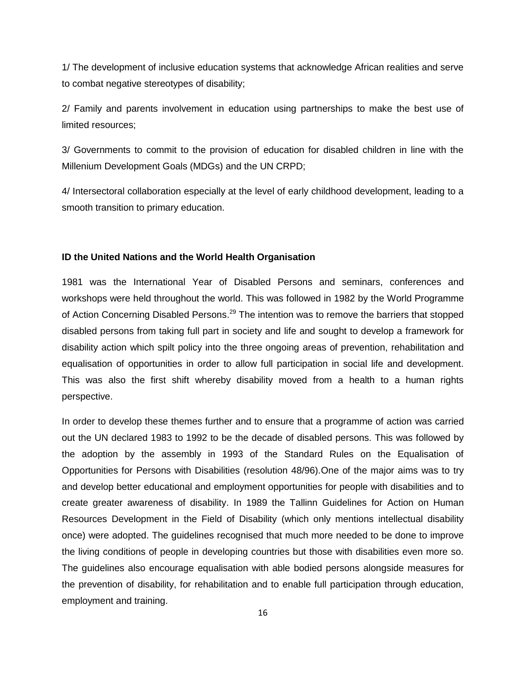1/ The development of inclusive education systems that acknowledge African realities and serve to combat negative stereotypes of disability;

2/ Family and parents involvement in education using partnerships to make the best use of limited resources;

3/ Governments to commit to the provision of education for disabled children in line with the Millenium Development Goals (MDGs) and the UN CRPD;

4/ Intersectoral collaboration especially at the level of early childhood development, leading to a smooth transition to primary education.

### **ID the United Nations and the World Health Organisation**

1981 was the International Year of Disabled Persons and seminars, conferences and workshops were held throughout the world. This was followed in 1982 by the World Programme of Action Concerning Disabled Persons.<sup>29</sup> The intention was to remove the barriers that stopped disabled persons from taking full part in society and life and sought to develop a framework for disability action which spilt policy into the three ongoing areas of prevention, rehabilitation and equalisation of opportunities in order to allow full participation in social life and development. This was also the first shift whereby disability moved from a health to a human rights perspective.

In order to develop these themes further and to ensure that a programme of action was carried out the UN declared 1983 to 1992 to be the decade of disabled persons. This was followed by the adoption by the assembly in 1993 of the Standard Rules on the Equalisation of Opportunities for Persons with Disabilities (resolution 48/96).One of the major aims was to try and develop better educational and employment opportunities for people with disabilities and to create greater awareness of disability. In 1989 the Tallinn Guidelines for Action on Human Resources Development in the Field of Disability (which only mentions intellectual disability once) were adopted. The guidelines recognised that much more needed to be done to improve the living conditions of people in developing countries but those with disabilities even more so. The guidelines also encourage equalisation with able bodied persons alongside measures for the prevention of disability, for rehabilitation and to enable full participation through education, employment and training.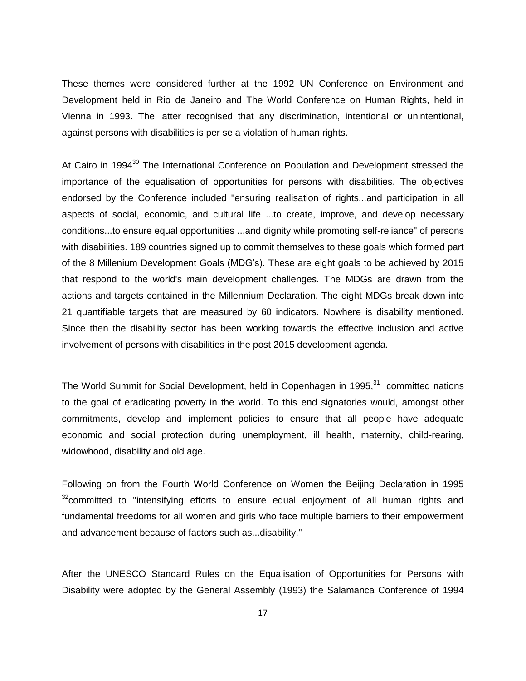These themes were considered further at the 1992 UN Conference on Environment and Development held in Rio de Janeiro and The World Conference on Human Rights, held in Vienna in 1993. The latter recognised that any discrimination, intentional or unintentional, against persons with disabilities is per se a violation of human rights.

At Cairo in 1994<sup>30</sup> The International Conference on Population and Development stressed the importance of the equalisation of opportunities for persons with disabilities. The objectives endorsed by the Conference included "ensuring realisation of rights...and participation in all aspects of social, economic, and cultural life ...to create, improve, and develop necessary conditions...to ensure equal opportunities ...and dignity while promoting self-reliance" of persons with disabilities. 189 countries signed up to commit themselves to these goals which formed part of the 8 Millenium Development Goals (MDG's). These are eight goals to be achieved by 2015 that respond to the world's main development challenges. The MDGs are drawn from the actions and targets contained in the Millennium Declaration. The eight MDGs break down into 21 quantifiable targets that are measured by 60 indicators. Nowhere is disability mentioned. Since then the disability sector has been working towards the effective inclusion and active involvement of persons with disabilities in the post 2015 development agenda.

The World Summit for Social Development, held in Copenhagen in 1995,<sup>31</sup> committed nations to the goal of eradicating poverty in the world. To this end signatories would, amongst other commitments, develop and implement policies to ensure that all people have adequate economic and social protection during unemployment, ill health, maternity, child-rearing, widowhood, disability and old age.

Following on from the Fourth World Conference on Women the Beijing Declaration in 1995  $32$ committed to "intensifying efforts to ensure equal enjoyment of all human rights and fundamental freedoms for all women and girls who face multiple barriers to their empowerment and advancement because of factors such as...disability."

After the UNESCO Standard Rules on the Equalisation of Opportunities for Persons with Disability were adopted by the General Assembly (1993) the Salamanca Conference of 1994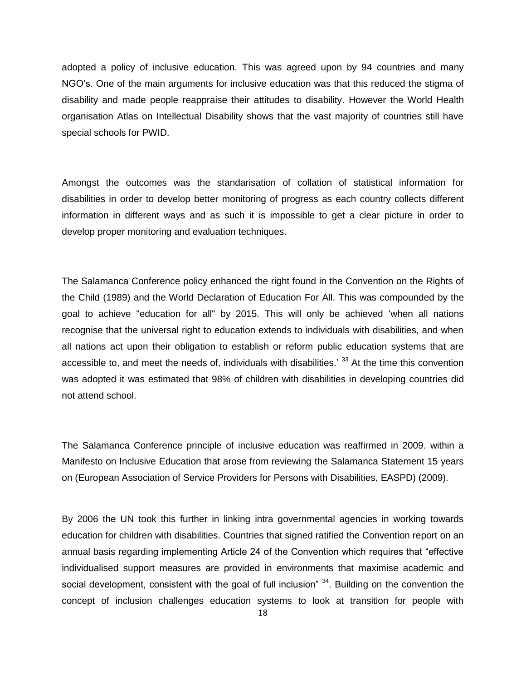adopted a policy of inclusive education. This was agreed upon by 94 countries and many NGO's. One of the main arguments for inclusive education was that this reduced the stigma of disability and made people reappraise their attitudes to disability. However the World Health organisation Atlas on Intellectual Disability shows that the vast majority of countries still have special schools for PWID.

Amongst the outcomes was the standarisation of collation of statistical information for disabilities in order to develop better monitoring of progress as each country collects different information in different ways and as such it is impossible to get a clear picture in order to develop proper monitoring and evaluation techniques.

The Salamanca Conference policy enhanced the right found in the Convention on the Rights of the Child (1989) and the World Declaration of Education For All. This was compounded by the goal to achieve "education for all" by 2015. This will only be achieved 'when all nations recognise that the universal right to education extends to individuals with disabilities, and when all nations act upon their obligation to establish or reform public education systems that are accessible to, and meet the needs of, individuals with disabilities.<sup>'33</sup> At the time this convention was adopted it was estimated that 98% of children with disabilities in developing countries did not attend school.

The Salamanca Conference principle of inclusive education was reaffirmed in 2009. within a Manifesto on Inclusive Education that arose from reviewing the Salamanca Statement 15 years on (European Association of Service Providers for Persons with Disabilities, EASPD) (2009).

By 2006 the UN took this further in linking intra governmental agencies in working towards education for children with disabilities. Countries that signed ratified the Convention report on an annual basis regarding implementing Article 24 of the Convention which requires that "effective individualised support measures are provided in environments that maximise academic and social development, consistent with the goal of full inclusion"  $34$ . Building on the convention the concept of inclusion challenges education systems to look at transition for people with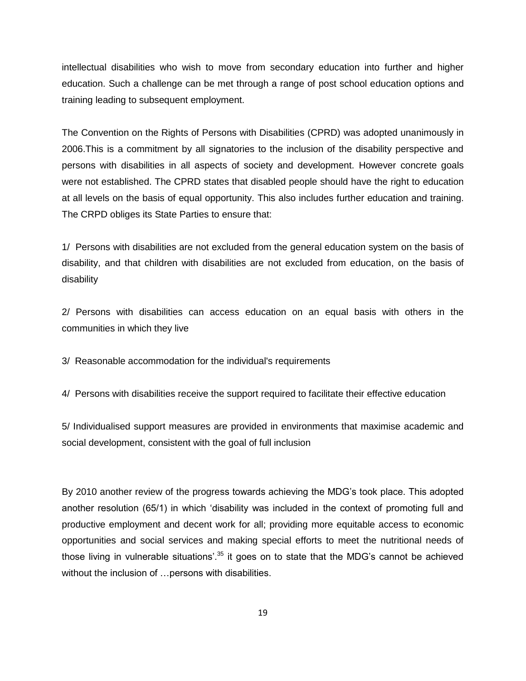intellectual disabilities who wish to move from secondary education into further and higher education. Such a challenge can be met through a range of post school education options and training leading to subsequent employment.

The Convention on the Rights of Persons with Disabilities (CPRD) was adopted unanimously in 2006.This is a commitment by all signatories to the inclusion of the disability perspective and persons with disabilities in all aspects of society and development. However concrete goals were not established. The CPRD states that disabled people should have the right to education at all levels on the basis of equal opportunity. This also includes further education and training. The CRPD obliges its State Parties to ensure that:

1/ Persons with disabilities are not excluded from the general education system on the basis of disability, and that children with disabilities are not excluded from education, on the basis of disability

2/ Persons with disabilities can access education on an equal basis with others in the communities in which they live

3/ Reasonable accommodation for the individual's requirements

4/ Persons with disabilities receive the support required to facilitate their effective education

5/ Individualised support measures are provided in environments that maximise academic and social development, consistent with the goal of full inclusion

By 2010 another review of the progress towards achieving the MDG's took place. This adopted another resolution (65/1) in which 'disability was included in the context of promoting full and productive employment and decent work for all; providing more equitable access to economic opportunities and social services and making special efforts to meet the nutritional needs of those living in vulnerable situations'.<sup>35</sup> it goes on to state that the MDG's cannot be achieved without the inclusion of ... persons with disabilities.

19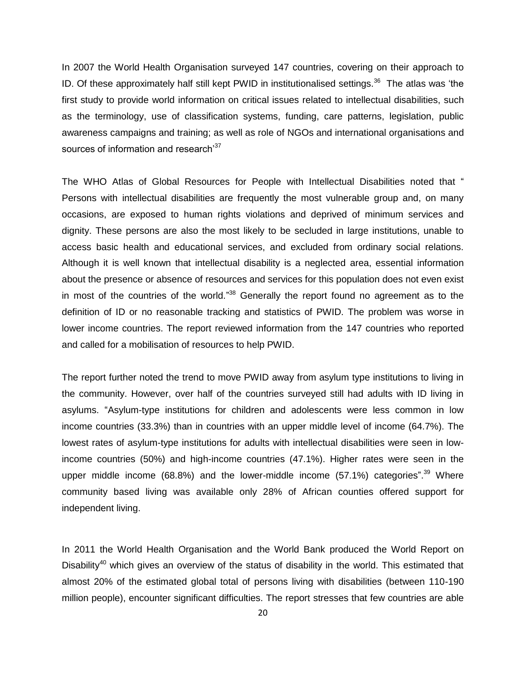In 2007 the World Health Organisation surveyed 147 countries, covering on their approach to ID. Of these approximately half still kept PWID in institutionalised settings.<sup>36</sup> The atlas was 'the first study to provide world information on critical issues related to intellectual disabilities, such as the terminology, use of classification systems, funding, care patterns, legislation, public awareness campaigns and training; as well as role of NGOs and international organisations and sources of information and research<sup>37</sup>

The WHO Atlas of Global Resources for People with Intellectual Disabilities noted that " Persons with intellectual disabilities are frequently the most vulnerable group and, on many occasions, are exposed to human rights violations and deprived of minimum services and dignity. These persons are also the most likely to be secluded in large institutions, unable to access basic health and educational services, and excluded from ordinary social relations. Although it is well known that intellectual disability is a neglected area, essential information about the presence or absence of resources and services for this population does not even exist in most of the countries of the world."<sup>38</sup> Generally the report found no agreement as to the definition of ID or no reasonable tracking and statistics of PWID. The problem was worse in lower income countries. The report reviewed information from the 147 countries who reported and called for a mobilisation of resources to help PWID.

The report further noted the trend to move PWID away from asylum type institutions to living in the community. However, over half of the countries surveyed still had adults with ID living in asylums. "Asylum-type institutions for children and adolescents were less common in low income countries (33.3%) than in countries with an upper middle level of income (64.7%). The lowest rates of asylum-type institutions for adults with intellectual disabilities were seen in lowincome countries (50%) and high-income countries (47.1%). Higher rates were seen in the upper middle income (68.8%) and the lower-middle income (57.1%) categories".<sup>39</sup> Where community based living was available only 28% of African counties offered support for independent living.

In 2011 the World Health Organisation and the World Bank produced the World Report on Disability<sup>40</sup> which gives an overview of the status of disability in the world. This estimated that almost 20% of the estimated global total of persons living with disabilities (between 110-190 million people), encounter significant difficulties. The report stresses that few countries are able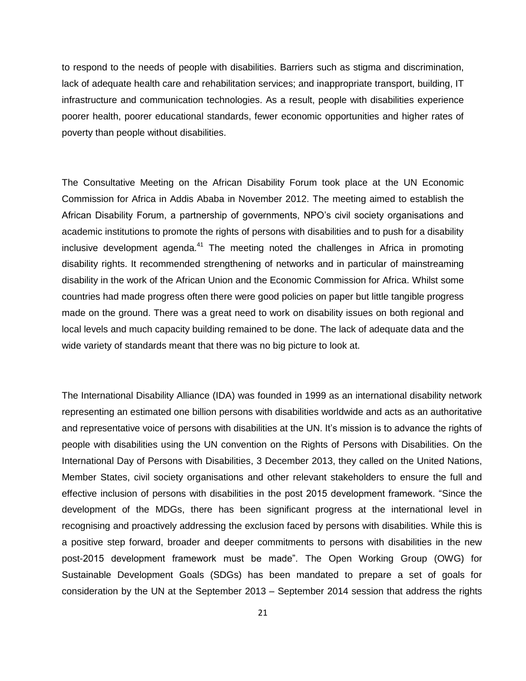to respond to the needs of people with disabilities. Barriers such as stigma and discrimination, lack of adequate health care and rehabilitation services; and inappropriate transport, building, IT infrastructure and communication technologies. As a result, people with disabilities experience poorer health, poorer educational standards, fewer economic opportunities and higher rates of poverty than people without disabilities.

The Consultative Meeting on the African Disability Forum took place at the UN Economic Commission for Africa in Addis Ababa in November 2012. The meeting aimed to establish the African Disability Forum, a partnership of governments, NPO's civil society organisations and academic institutions to promote the rights of persons with disabilities and to push for a disability inclusive development agenda. $41$  The meeting noted the challenges in Africa in promoting disability rights. It recommended strengthening of networks and in particular of mainstreaming disability in the work of the African Union and the Economic Commission for Africa. Whilst some countries had made progress often there were good policies on paper but little tangible progress made on the ground. There was a great need to work on disability issues on both regional and local levels and much capacity building remained to be done. The lack of adequate data and the wide variety of standards meant that there was no big picture to look at.

The International Disability Alliance (IDA) was founded in 1999 as an international disability network representing an estimated one billion persons with disabilities worldwide and acts as an authoritative and representative voice of persons with disabilities at the UN. It's mission is to advance the rights of people with disabilities using the UN convention on the Rights of Persons with Disabilities. On the International Day of Persons with Disabilities, 3 December 2013, they called on the United Nations, Member States, civil society organisations and other relevant stakeholders to ensure the full and effective inclusion of persons with disabilities in the post 2015 development framework. "Since the development of the MDGs, there has been significant progress at the international level in recognising and proactively addressing the exclusion faced by persons with disabilities. While this is a positive step forward, broader and deeper commitments to persons with disabilities in the new post-2015 development framework must be made". The Open Working Group (OWG) for Sustainable Development Goals (SDGs) has been mandated to prepare a set of goals for consideration by the UN at the September 2013 – September 2014 session that address the rights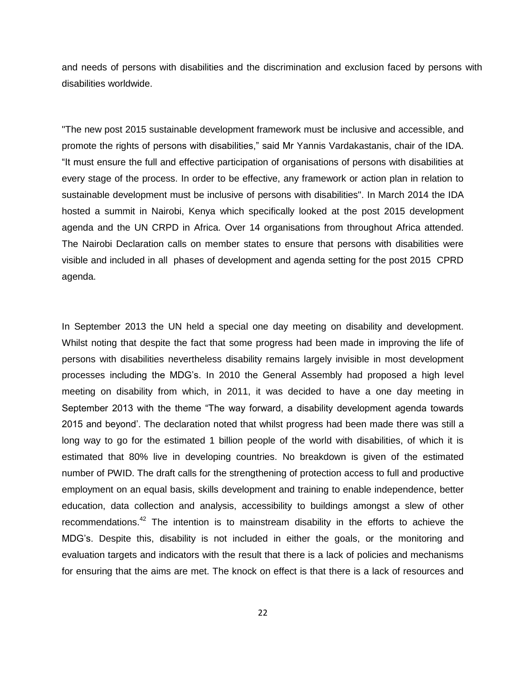and needs of persons with disabilities and the discrimination and exclusion faced by persons with disabilities worldwide.

"The new post 2015 sustainable development framework must be inclusive and accessible, and promote the rights of persons with disabilities," said Mr Yannis Vardakastanis, chair of the IDA. "It must ensure the full and effective participation of organisations of persons with disabilities at every stage of the process. In order to be effective, any framework or action plan in relation to sustainable development must be inclusive of persons with disabilities". In March 2014 the IDA hosted a summit in Nairobi, Kenya which specifically looked at the post 2015 development agenda and the UN CRPD in Africa. Over 14 organisations from throughout Africa attended. The Nairobi Declaration calls on member states to ensure that persons with disabilities were visible and included in all phases of development and agenda setting for the post 2015 CPRD agenda.

In September 2013 the UN held a special one day meeting on disability and development. Whilst noting that despite the fact that some progress had been made in improving the life of persons with disabilities nevertheless disability remains largely invisible in most development processes including the MDG's. In 2010 the General Assembly had proposed a high level meeting on disability from which, in 2011, it was decided to have a one day meeting in September 2013 with the theme "The way forward, a disability development agenda towards 2015 and beyond'. The declaration noted that whilst progress had been made there was still a long way to go for the estimated 1 billion people of the world with disabilities, of which it is estimated that 80% live in developing countries. No breakdown is given of the estimated number of PWID. The draft calls for the strengthening of protection access to full and productive employment on an equal basis, skills development and training to enable independence, better education, data collection and analysis, accessibility to buildings amongst a slew of other recommendations.<sup>42</sup> The intention is to mainstream disability in the efforts to achieve the MDG's. Despite this, disability is not included in either the goals, or the monitoring and evaluation targets and indicators with the result that there is a lack of policies and mechanisms for ensuring that the aims are met. The knock on effect is that there is a lack of resources and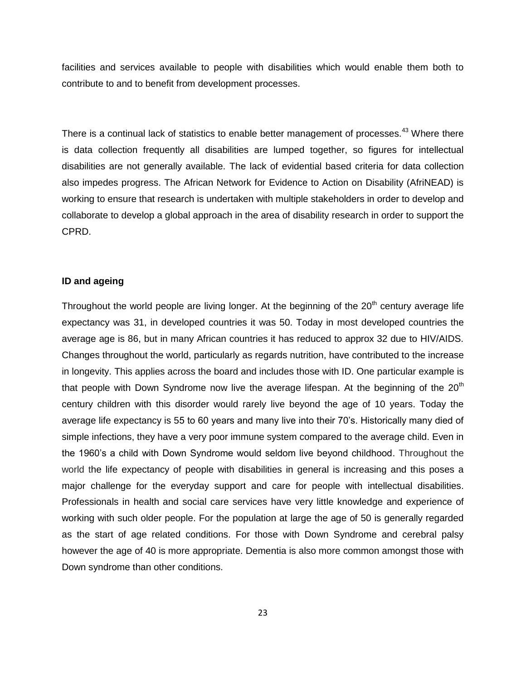facilities and services available to people with disabilities which would enable them both to contribute to and to benefit from development processes.

There is a continual lack of statistics to enable better management of processes.<sup>43</sup> Where there is data collection frequently all disabilities are lumped together, so figures for intellectual disabilities are not generally available. The lack of evidential based criteria for data collection also impedes progress. The African Network for Evidence to Action on Disability (AfriNEAD) is working to ensure that research is undertaken with multiple stakeholders in order to develop and collaborate to develop a global approach in the area of disability research in order to support the CPRD.

### **ID and ageing**

Throughout the world people are living longer. At the beginning of the  $20<sup>th</sup>$  century average life expectancy was 31, in developed countries it was 50. Today in most developed countries the average age is 86, but in many African countries it has reduced to approx 32 due to HIV/AIDS. Changes throughout the world, particularly as regards nutrition, have contributed to the increase in longevity. This applies across the board and includes those with ID. One particular example is that people with Down Syndrome now live the average lifespan. At the beginning of the  $20<sup>th</sup>$ century children with this disorder would rarely live beyond the age of 10 years. Today the average life expectancy is 55 to 60 years and many live into their 70's. Historically many died of simple infections, they have a very poor immune system compared to the average child. Even in the 1960's a child with Down Syndrome would seldom live beyond childhood. Throughout the world the life expectancy of people with disabilities in general is increasing and this poses a major challenge for the everyday support and care for people with intellectual disabilities. Professionals in health and social care services have very little knowledge and experience of working with such older people. For the population at large the age of 50 is generally regarded as the start of age related conditions. For those with Down Syndrome and cerebral palsy however the age of 40 is more appropriate. Dementia is also more common amongst those with Down syndrome than other conditions.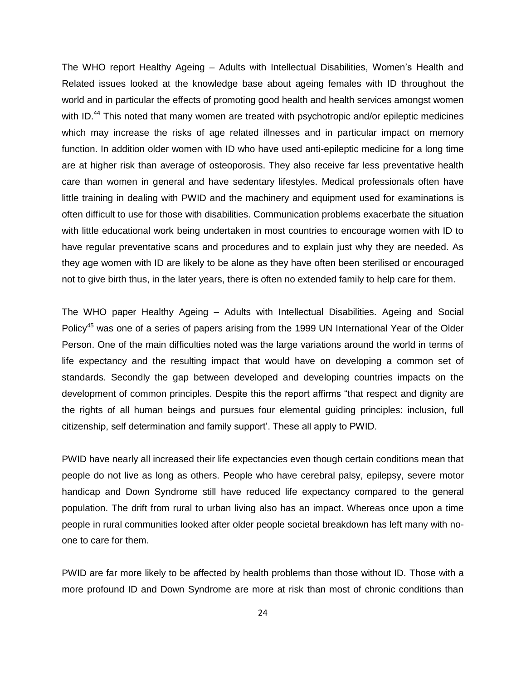The WHO report Healthy Ageing – Adults with Intellectual Disabilities, Women's Health and Related issues looked at the knowledge base about ageing females with ID throughout the world and in particular the effects of promoting good health and health services amongst women with ID.<sup>44</sup> This noted that many women are treated with psychotropic and/or epileptic medicines which may increase the risks of age related illnesses and in particular impact on memory function. In addition older women with ID who have used anti-epileptic medicine for a long time are at higher risk than average of osteoporosis. They also receive far less preventative health care than women in general and have sedentary lifestyles. Medical professionals often have little training in dealing with PWID and the machinery and equipment used for examinations is often difficult to use for those with disabilities. Communication problems exacerbate the situation with little educational work being undertaken in most countries to encourage women with ID to have regular preventative scans and procedures and to explain just why they are needed. As they age women with ID are likely to be alone as they have often been sterilised or encouraged not to give birth thus, in the later years, there is often no extended family to help care for them.

The WHO paper Healthy Ageing – Adults with Intellectual Disabilities. Ageing and Social Policy<sup>45</sup> was one of a series of papers arising from the 1999 UN International Year of the Older Person. One of the main difficulties noted was the large variations around the world in terms of life expectancy and the resulting impact that would have on developing a common set of standards. Secondly the gap between developed and developing countries impacts on the development of common principles. Despite this the report affirms "that respect and dignity are the rights of all human beings and pursues four elemental guiding principles: inclusion, full citizenship, self determination and family support'. These all apply to PWID.

PWID have nearly all increased their life expectancies even though certain conditions mean that people do not live as long as others. People who have cerebral palsy, epilepsy, severe motor handicap and Down Syndrome still have reduced life expectancy compared to the general population. The drift from rural to urban living also has an impact. Whereas once upon a time people in rural communities looked after older people societal breakdown has left many with noone to care for them.

PWID are far more likely to be affected by health problems than those without ID. Those with a more profound ID and Down Syndrome are more at risk than most of chronic conditions than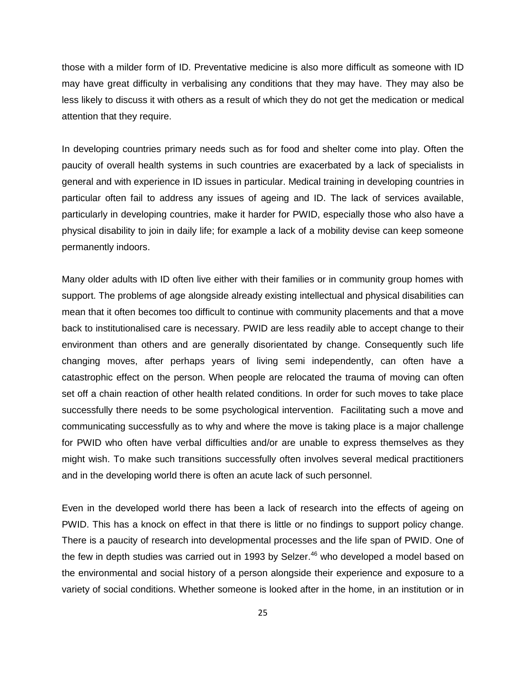those with a milder form of ID. Preventative medicine is also more difficult as someone with ID may have great difficulty in verbalising any conditions that they may have. They may also be less likely to discuss it with others as a result of which they do not get the medication or medical attention that they require.

In developing countries primary needs such as for food and shelter come into play. Often the paucity of overall health systems in such countries are exacerbated by a lack of specialists in general and with experience in ID issues in particular. Medical training in developing countries in particular often fail to address any issues of ageing and ID. The lack of services available, particularly in developing countries, make it harder for PWID, especially those who also have a physical disability to join in daily life; for example a lack of a mobility devise can keep someone permanently indoors.

Many older adults with ID often live either with their families or in community group homes with support. The problems of age alongside already existing intellectual and physical disabilities can mean that it often becomes too difficult to continue with community placements and that a move back to institutionalised care is necessary. PWID are less readily able to accept change to their environment than others and are generally disorientated by change. Consequently such life changing moves, after perhaps years of living semi independently, can often have a catastrophic effect on the person. When people are relocated the trauma of moving can often set off a chain reaction of other health related conditions. In order for such moves to take place successfully there needs to be some psychological intervention. Facilitating such a move and communicating successfully as to why and where the move is taking place is a major challenge for PWID who often have verbal difficulties and/or are unable to express themselves as they might wish. To make such transitions successfully often involves several medical practitioners and in the developing world there is often an acute lack of such personnel.

Even in the developed world there has been a lack of research into the effects of ageing on PWID. This has a knock on effect in that there is little or no findings to support policy change. There is a paucity of research into developmental processes and the life span of PWID. One of the few in depth studies was carried out in 1993 by Selzer.<sup>46</sup> who developed a model based on the environmental and social history of a person alongside their experience and exposure to a variety of social conditions. Whether someone is looked after in the home, in an institution or in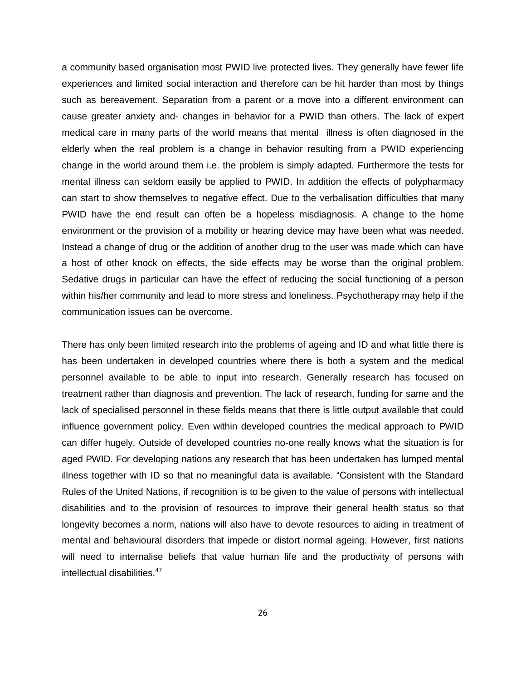a community based organisation most PWID live protected lives. They generally have fewer life experiences and limited social interaction and therefore can be hit harder than most by things such as bereavement. Separation from a parent or a move into a different environment can cause greater anxiety and- changes in behavior for a PWID than others. The lack of expert medical care in many parts of the world means that mental illness is often diagnosed in the elderly when the real problem is a change in behavior resulting from a PWID experiencing change in the world around them i.e. the problem is simply adapted. Furthermore the tests for mental illness can seldom easily be applied to PWID. In addition the effects of polypharmacy can start to show themselves to negative effect. Due to the verbalisation difficulties that many PWID have the end result can often be a hopeless misdiagnosis. A change to the home environment or the provision of a mobility or hearing device may have been what was needed. Instead a change of drug or the addition of another drug to the user was made which can have a host of other knock on effects, the side effects may be worse than the original problem. Sedative drugs in particular can have the effect of reducing the social functioning of a person within his/her community and lead to more stress and loneliness. Psychotherapy may help if the communication issues can be overcome.

There has only been limited research into the problems of ageing and ID and what little there is has been undertaken in developed countries where there is both a system and the medical personnel available to be able to input into research. Generally research has focused on treatment rather than diagnosis and prevention. The lack of research, funding for same and the lack of specialised personnel in these fields means that there is little output available that could influence government policy. Even within developed countries the medical approach to PWID can differ hugely. Outside of developed countries no-one really knows what the situation is for aged PWID. For developing nations any research that has been undertaken has lumped mental illness together with ID so that no meaningful data is available. "Consistent with the Standard Rules of the United Nations, if recognition is to be given to the value of persons with intellectual disabilities and to the provision of resources to improve their general health status so that longevity becomes a norm, nations will also have to devote resources to aiding in treatment of mental and behavioural disorders that impede or distort normal ageing. However, first nations will need to internalise beliefs that value human life and the productivity of persons with intellectual disabilities.<sup>47</sup>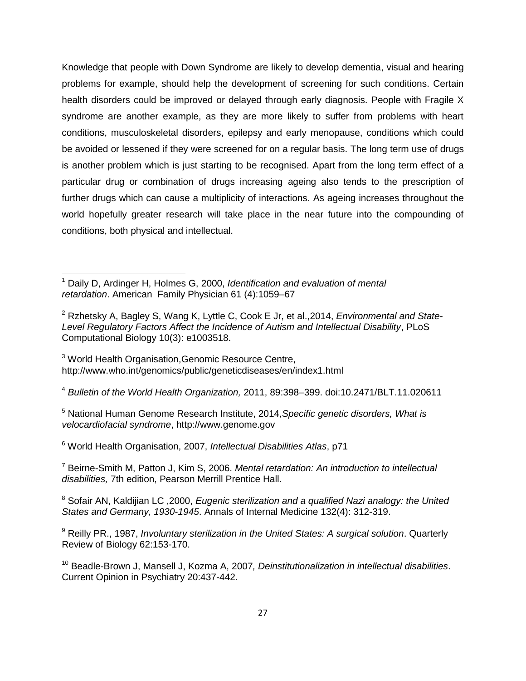Knowledge that people with Down Syndrome are likely to develop dementia, visual and hearing problems for example, should help the development of screening for such conditions. Certain health disorders could be improved or delayed through early diagnosis. People with Fragile X syndrome are another example, as they are more likely to suffer from problems with heart conditions, musculoskeletal disorders, epilepsy and early menopause, conditions which could be avoided or lessened if they were screened for on a regular basis. The long term use of drugs is another problem which is just starting to be recognised. Apart from the long term effect of a particular drug or combination of drugs increasing ageing also tends to the prescription of further drugs which can cause a multiplicity of interactions. As ageing increases throughout the world hopefully greater research will take place in the near future into the compounding of conditions, both physical and intellectual.

<sup>3</sup> World Health Organisation, Genomic Resource Centre, <http://www.who.int/genomics/public/geneticdiseases/en/index1.html>

 $\overline{\phantom{a}}$ 

<sup>4</sup> *Bulletin of the World Health Organization,* 2011, 89:398–399. doi:10.2471/BLT.11.020611

<sup>5</sup> National Human Genome Research Institute, 2014,*Specific genetic disorders, What is velocardiofacial syndrome*, http://www.genome.gov

<sup>6</sup> World Health Organisation, 2007, *Intellectual Disabilities Atlas*, p71

<sup>7</sup> Beirne-Smith M, Patton J, Kim S, 2006. *Mental retardation: An introduction to intellectual disabilities,* 7th edition, Pearson Merrill Prentice Hall.

<sup>8</sup> Sofair AN, Kaldijian LC ,2000, *Eugenic sterilization and a qualified Nazi analogy: the United States and Germany, 1930-1945*. Annals of Internal Medicine 132(4): 312-319.

<sup>9</sup> Reilly PR., 1987, *Involuntary sterilization in the United States: A surgical solution*. Quarterly Review of Biology 62:153-170.

<sup>10</sup> Beadle-Brown J, Mansell J, Kozma A, 2007*, Deinstitutionalization in intellectual disabilities*. Current Opinion in Psychiatry 20:437-442.

<sup>1</sup> Daily D, Ardinger H, Holmes G, 2000, *Identification and evaluation of mental retardation*. American Family Physician 61 (4):1059–67

<sup>2</sup> Rzhetsky A, Bagley S, Wang K, Lyttle C, Cook E Jr, et al.,2014, *Environmental and State-Level Regulatory Factors Affect the Incidence of Autism and Intellectual Disability*, PLoS Computational Biology 10(3): e1003518.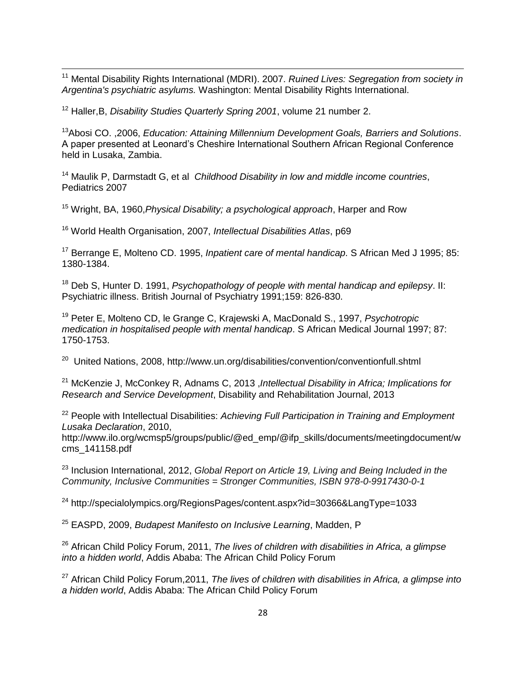<sup>11</sup> Mental Disability Rights International (MDRI). 2007. *Ruined Lives: Segregation from society in Argentina's psychiatric asylums.* Washington: Mental Disability Rights International.

<sup>12</sup> Haller,B, *Disability Studies Quarterly Spring 2001*, volume 21 number 2.

 $\overline{\phantom{a}}$ 

<sup>13</sup>Abosi CO. ,2006, *Education: Attaining Millennium Development Goals, Barriers and Solutions*. A paper presented at Leonard's Cheshire International Southern African Regional Conference held in Lusaka, Zambia.

<sup>14</sup> Maulik P, Darmstadt G, et al *Childhood Disability in low and middle income countries*, Pediatrics 2007

<sup>15</sup> Wright, BA, 1960,*Physical Disability; a psychological approach*, Harper and Row

<sup>16</sup> World Health Organisation, 2007, *Intellectual Disabilities Atlas*, p69

<sup>17</sup> Berrange E, Molteno CD. 1995, *Inpatient care of mental handicap*. S African Med J 1995; 85: 1380-1384.

<sup>18</sup> Deb S, Hunter D. 1991, *Psychopathology of people with mental handicap and epilepsy*. II: Psychiatric illness. British Journal of Psychiatry 1991;159: 826-830.

<sup>19</sup> Peter E, Molteno CD, le Grange C, Krajewski A, MacDonald S., 1997, *Psychotropic medication in hospitalised people with mental handicap*. S African Medical Journal 1997; 87: 1750-1753.

<sup>20</sup> United Nations, 2008, http://www.un.org/disabilities/convention/conventionfull.shtml

<sup>21</sup> McKenzie J, McConkey R, Adnams C, 2013 ,*Intellectual Disability in Africa; Implications for Research and Service Development*, Disability and Rehabilitation Journal, 2013

<sup>22</sup> People with Intellectual Disabilities: *Achieving Full Participation in Training and Employment Lusaka Declaration*, 2010,

[http://www.ilo.org/wcmsp5/groups/public/@ed\\_emp/@ifp\\_skills/documents/meetingdocument/w](http://www.ilo.org/wcmsp5/groups/public/@ed_emp/@ifp_skills/documents/meetingdocument/wcms_141) [cms\\_1411](http://www.ilo.org/wcmsp5/groups/public/@ed_emp/@ifp_skills/documents/meetingdocument/wcms_141)58.pdf

<sup>23</sup> Inclusion International, 2012, *Global Report on Article 19, Living and Being Included in the Community, Inclusive Communities = Stronger Communities, ISBN 978-0-9917430-0-1* 

<sup>24</sup> http://specialolympics.org/RegionsPages/content.aspx?id=30366&LangType=1033

<sup>25</sup> EASPD, 2009, *Budapest Manifesto on Inclusive Learning*, Madden, P

<sup>26</sup> African Child Policy Forum, 2011, *The lives of children with disabilities in Africa, a glimpse into a hidden world*, Addis Ababa: The African Child Policy Forum

<sup>27</sup> African Child Policy Forum,2011, *The lives of children with disabilities in Africa, a glimpse into a hidden world*, Addis Ababa: The African Child Policy Forum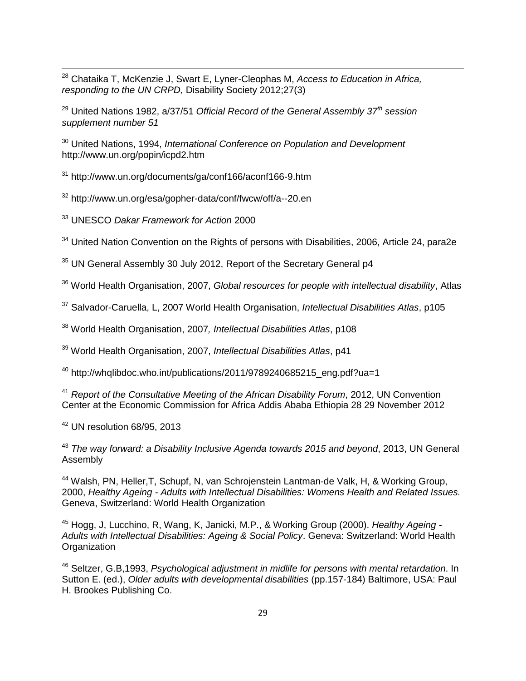<sup>28</sup> Chataika T, McKenzie J, Swart E, Lyner-Cleophas M, *Access to Education in Africa, responding to the UN CRPD,* Disability Society 2012;27(3)

<sup>29</sup> United Nations 1982, a/37/51 *Official Record of the General Assembly 37th session supplement number 51*

<sup>30</sup> United Nations, 1994, *International Conference on Population and Development*  <http://www.un.org/popin/icpd2.htm>

<sup>31</sup> <http://www.un.org/documents/ga/conf166/aconf166-9.htm>

<sup>32</sup> <http://www.un.org/esa/gopher-data/conf/fwcw/off/a--20.en>

<sup>33</sup> UNESCO *Dakar Framework for Action* 2000

 $\overline{\phantom{a}}$ 

<sup>34</sup> United Nation Convention on the Rights of persons with Disabilities, 2006, Article 24, para2e

<sup>35</sup> UN General Assembly 30 July 2012, Report of the Secretary General p4

<sup>36</sup> World Health Organisation, 2007, *Global resources for people with intellectual disability*, Atlas

<sup>37</sup> Salvador-Caruella, L, 2007 World Health Organisation, *Intellectual Disabilities Atlas*, p105

<sup>38</sup> World Health Organisation, 2007*, Intellectual Disabilities Atlas*, p108

<sup>39</sup> World Health Organisation, 2007, *Intellectual Disabilities Atlas*, p41

<sup>40</sup> [http://whqlibdoc.who.int/publications/2011/9789240685215\\_eng.pdf?ua=1](http://whqlibdoc.who.int/publications/2011/9789240685215_eng.pdf?ua=1)

<sup>41</sup> *Report of the Consultative Meeting of the African Disability Forum*, 2012, UN Convention Center at the Economic Commission for Africa Addis Ababa Ethiopia 28 29 November 2012

<sup>42</sup> UN resolution 68/95, 2013

<sup>43</sup> *The way forward: a Disability Inclusive Agenda towards 2015 and beyond*, 2013, UN General Assembly

<sup>44</sup> Walsh, PN, Heller,T, Schupf, N, van Schrojenstein Lantman-de Valk, H, & Working Group, 2000, *Healthy Ageing - Adults with Intellectual Disabilities: Womens Health and Related Issues.*  Geneva, Switzerland: World Health Organization

<sup>45</sup> Hogg, J, Lucchino, R, Wang, K, Janicki, M.P., & Working Group (2000). *Healthy Ageing - Adults with Intellectual Disabilities: Ageing & Social Policy*. Geneva: Switzerland: World Health **Organization** 

<sup>46</sup> Seltzer, G.B,1993, *Psychological adjustment in midlife for persons with mental retardation*. In Sutton E. (ed.), *Older adults with developmental disabilities* (pp.157-184) Baltimore, USA: Paul H. Brookes Publishing Co.